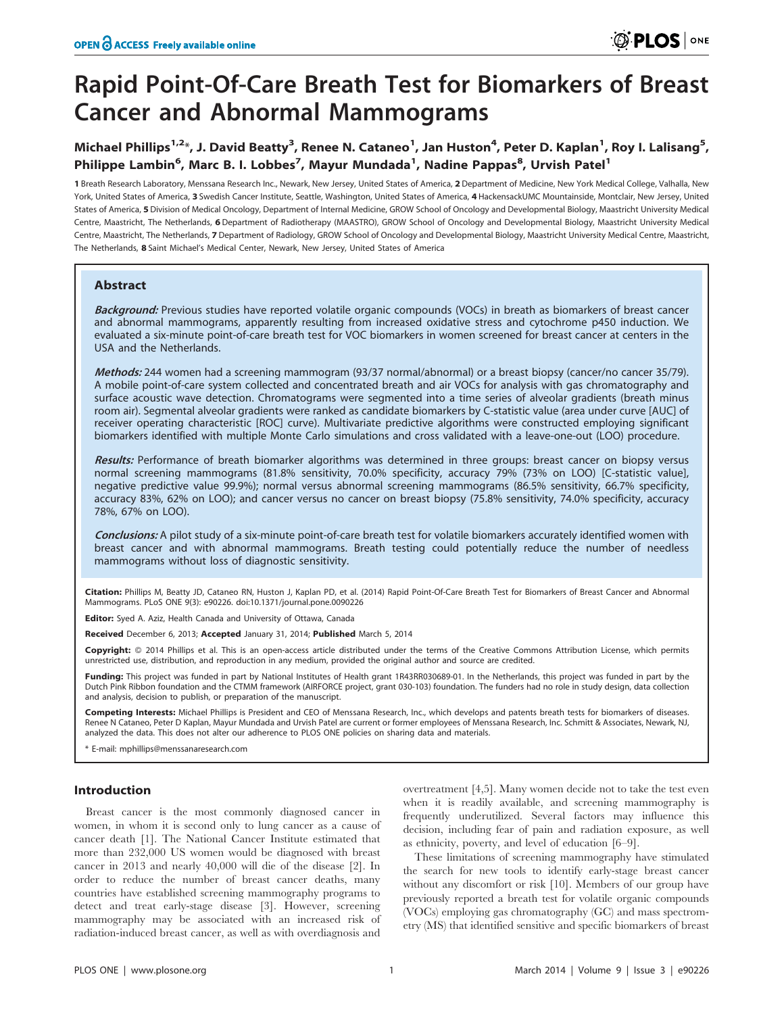# Rapid Point-Of-Care Breath Test for Biomarkers of Breast Cancer and Abnormal Mammograms

# Michael Phillips<sup>1,2</sup>\*, J. David Beatty<sup>3</sup>, Renee N. Cataneo<sup>1</sup>, Jan Huston<sup>4</sup>, Peter D. Kaplan<sup>1</sup>, Roy I. Lalisang<sup>5</sup>, Philippe Lambin<sup>6</sup>, Marc B. I. Lobbes<sup>7</sup>, Mayur Mundada<sup>1</sup>, Nadine Pappas<sup>8</sup>, Urvish Patel<sup>1</sup>

1 Breath Research Laboratory, Menssana Research Inc., Newark, New Jersey, United States of America, 2 Department of Medicine, New York Medical College, Valhalla, New York, United States of America, 3 Swedish Cancer Institute, Seattle, Washington, United States of America, 4 HackensackUMC Mountainside, Montclair, New Jersey, United States of America, 5 Division of Medical Oncology, Department of Internal Medicine, GROW School of Oncology and Developmental Biology, Maastricht University Medical Centre, Maastricht, The Netherlands, 6 Department of Radiotherapy (MAASTRO), GROW School of Oncology and Developmental Biology, Maastricht University Medical Centre, Maastricht, The Netherlands, 7 Department of Radiology, GROW School of Oncology and Developmental Biology, Maastricht University Medical Centre, Maastricht, The Netherlands, 8 Saint Michael's Medical Center, Newark, New Jersey, United States of America

# Abstract

Background: Previous studies have reported volatile organic compounds (VOCs) in breath as biomarkers of breast cancer and abnormal mammograms, apparently resulting from increased oxidative stress and cytochrome p450 induction. We evaluated a six-minute point-of-care breath test for VOC biomarkers in women screened for breast cancer at centers in the USA and the Netherlands.

Methods: 244 women had a screening mammogram (93/37 normal/abnormal) or a breast biopsy (cancer/no cancer 35/79). A mobile point-of-care system collected and concentrated breath and air VOCs for analysis with gas chromatography and surface acoustic wave detection. Chromatograms were segmented into a time series of alveolar gradients (breath minus room air). Segmental alveolar gradients were ranked as candidate biomarkers by C-statistic value (area under curve [AUC] of receiver operating characteristic [ROC] curve). Multivariate predictive algorithms were constructed employing significant biomarkers identified with multiple Monte Carlo simulations and cross validated with a leave-one-out (LOO) procedure.

Results: Performance of breath biomarker algorithms was determined in three groups: breast cancer on biopsy versus normal screening mammograms (81.8% sensitivity, 70.0% specificity, accuracy 79% (73% on LOO) [C-statistic value], negative predictive value 99.9%); normal versus abnormal screening mammograms (86.5% sensitivity, 66.7% specificity, accuracy 83%, 62% on LOO); and cancer versus no cancer on breast biopsy (75.8% sensitivity, 74.0% specificity, accuracy 78%, 67% on LOO).

Conclusions: A pilot study of a six-minute point-of-care breath test for volatile biomarkers accurately identified women with breast cancer and with abnormal mammograms. Breath testing could potentially reduce the number of needless mammograms without loss of diagnostic sensitivity.

Citation: Phillips M, Beatty JD, Cataneo RN, Huston J, Kaplan PD, et al. (2014) Rapid Point-Of-Care Breath Test for Biomarkers of Breast Cancer and Abnormal Mammograms. PLoS ONE 9(3): e90226. doi:10.1371/journal.pone.0090226

Editor: Syed A. Aziz, Health Canada and University of Ottawa, Canada

Received December 6, 2013; Accepted January 31, 2014; Published March 5, 2014

Copyright: © 2014 Phillips et al. This is an open-access article distributed under the terms of the Creative Commons Attribution License, which permits unrestricted use, distribution, and reproduction in any medium, provided the original author and source are credited.

Funding: This project was funded in part by National Institutes of Health grant 1R43RR030689-01. In the Netherlands, this project was funded in part by the Dutch Pink Ribbon foundation and the CTMM framework (AIRFORCE project, grant 030-103) foundation. The funders had no role in study design, data collection and analysis, decision to publish, or preparation of the manuscript.

Competing Interests: Michael Phillips is President and CEO of Menssana Research, Inc., which develops and patents breath tests for biomarkers of diseases. Renee N Cataneo, Peter D Kaplan, Mayur Mundada and Urvish Patel are current or former employees of Menssana Research, Inc. Schmitt & Associates, Newark, NJ, analyzed the data. This does not alter our adherence to PLOS ONE policies on sharing data and materials.

\* E-mail: mphillips@menssanaresearch.com

## Introduction

Breast cancer is the most commonly diagnosed cancer in women, in whom it is second only to lung cancer as a cause of cancer death [1]. The National Cancer Institute estimated that more than 232,000 US women would be diagnosed with breast cancer in 2013 and nearly 40,000 will die of the disease [2]. In order to reduce the number of breast cancer deaths, many countries have established screening mammography programs to detect and treat early-stage disease [3]. However, screening mammography may be associated with an increased risk of radiation-induced breast cancer, as well as with overdiagnosis and

overtreatment [4,5]. Many women decide not to take the test even when it is readily available, and screening mammography is frequently underutilized. Several factors may influence this decision, including fear of pain and radiation exposure, as well as ethnicity, poverty, and level of education [6–9].

These limitations of screening mammography have stimulated the search for new tools to identify early-stage breast cancer without any discomfort or risk [10]. Members of our group have previously reported a breath test for volatile organic compounds (VOCs) employing gas chromatography (GC) and mass spectrometry (MS) that identified sensitive and specific biomarkers of breast

@ PLOS | ONE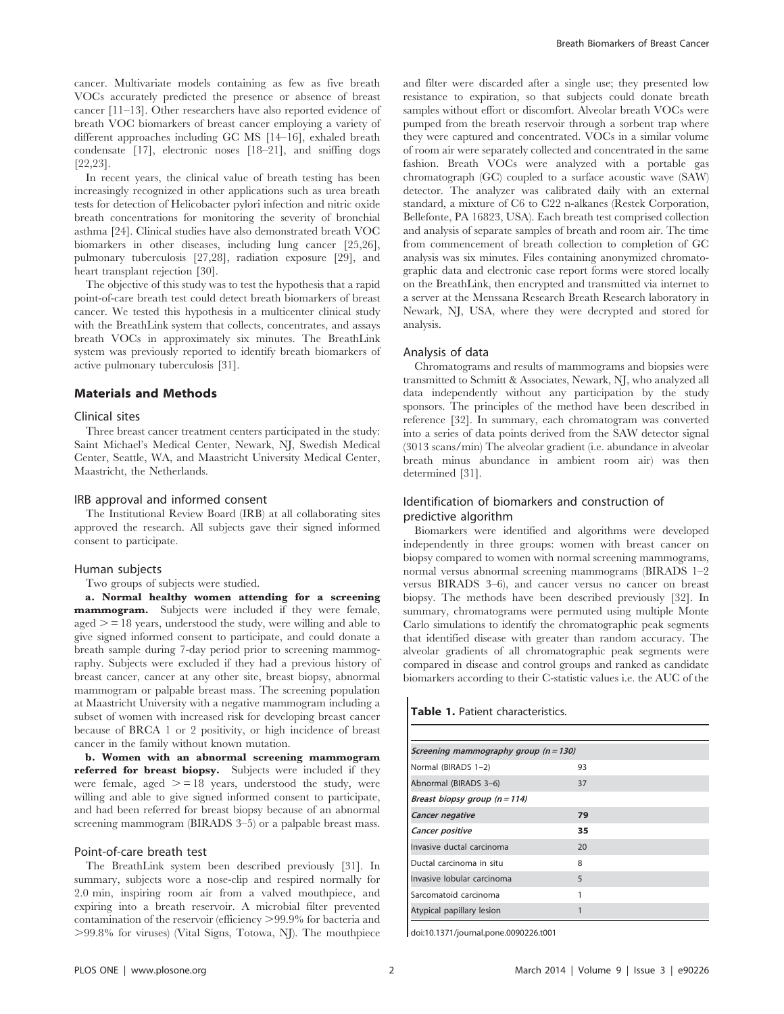cancer. Multivariate models containing as few as five breath VOCs accurately predicted the presence or absence of breast cancer [11–13]. Other researchers have also reported evidence of breath VOC biomarkers of breast cancer employing a variety of different approaches including GC MS [14–16], exhaled breath condensate [17], electronic noses [18–21], and sniffing dogs [22,23].

In recent years, the clinical value of breath testing has been increasingly recognized in other applications such as urea breath tests for detection of Helicobacter pylori infection and nitric oxide breath concentrations for monitoring the severity of bronchial asthma [24]. Clinical studies have also demonstrated breath VOC biomarkers in other diseases, including lung cancer [25,26], pulmonary tuberculosis [27,28], radiation exposure [29], and heart transplant rejection [30].

The objective of this study was to test the hypothesis that a rapid point-of-care breath test could detect breath biomarkers of breast cancer. We tested this hypothesis in a multicenter clinical study with the BreathLink system that collects, concentrates, and assays breath VOCs in approximately six minutes. The BreathLink system was previously reported to identify breath biomarkers of active pulmonary tuberculosis [31].

# Materials and Methods

#### Clinical sites

Three breast cancer treatment centers participated in the study: Saint Michael's Medical Center, Newark, NJ, Swedish Medical Center, Seattle, WA, and Maastricht University Medical Center, Maastricht, the Netherlands.

#### IRB approval and informed consent

The Institutional Review Board (IRB) at all collaborating sites approved the research. All subjects gave their signed informed consent to participate.

#### Human subjects

Two groups of subjects were studied.

a. Normal healthy women attending for a screening mammogram. Subjects were included if they were female, aged  $\ge$  = 18 years, understood the study, were willing and able to give signed informed consent to participate, and could donate a breath sample during 7-day period prior to screening mammography. Subjects were excluded if they had a previous history of breast cancer, cancer at any other site, breast biopsy, abnormal mammogram or palpable breast mass. The screening population at Maastricht University with a negative mammogram including a subset of women with increased risk for developing breast cancer because of BRCA 1 or 2 positivity, or high incidence of breast cancer in the family without known mutation.

b. Women with an abnormal screening mammogram referred for breast biopsy. Subjects were included if they were female, aged  $\geq$  = 18 years, understood the study, were willing and able to give signed informed consent to participate, and had been referred for breast biopsy because of an abnormal screening mammogram (BIRADS 3–5) or a palpable breast mass.

#### Point-of-care breath test

The BreathLink system been described previously [31]. In summary, subjects wore a nose-clip and respired normally for 2.0 min, inspiring room air from a valved mouthpiece, and expiring into a breath reservoir. A microbial filter prevented contamination of the reservoir (efficiency  $>99.9\%$  for bacteria and .99.8% for viruses) (Vital Signs, Totowa, NJ). The mouthpiece and filter were discarded after a single use; they presented low resistance to expiration, so that subjects could donate breath samples without effort or discomfort. Alveolar breath VOCs were pumped from the breath reservoir through a sorbent trap where they were captured and concentrated. VOCs in a similar volume of room air were separately collected and concentrated in the same fashion. Breath VOCs were analyzed with a portable gas chromatograph (GC) coupled to a surface acoustic wave (SAW) detector. The analyzer was calibrated daily with an external standard, a mixture of C6 to C22 n-alkanes (Restek Corporation, Bellefonte, PA 16823, USA). Each breath test comprised collection and analysis of separate samples of breath and room air. The time from commencement of breath collection to completion of GC analysis was six minutes. Files containing anonymized chromatographic data and electronic case report forms were stored locally on the BreathLink, then encrypted and transmitted via internet to a server at the Menssana Research Breath Research laboratory in Newark, NJ, USA, where they were decrypted and stored for analysis.

## Analysis of data

Chromatograms and results of mammograms and biopsies were transmitted to Schmitt & Associates, Newark, NJ, who analyzed all data independently without any participation by the study sponsors. The principles of the method have been described in reference [32]. In summary, each chromatogram was converted into a series of data points derived from the SAW detector signal (3013 scans/min) The alveolar gradient (i.e. abundance in alveolar breath minus abundance in ambient room air) was then determined [31].

# Identification of biomarkers and construction of predictive algorithm

Biomarkers were identified and algorithms were developed independently in three groups: women with breast cancer on biopsy compared to women with normal screening mammograms, normal versus abnormal screening mammograms (BIRADS 1–2 versus BIRADS 3–6), and cancer versus no cancer on breast biopsy. The methods have been described previously [32]. In summary, chromatograms were permuted using multiple Monte Carlo simulations to identify the chromatographic peak segments that identified disease with greater than random accuracy. The alveolar gradients of all chromatographic peak segments were compared in disease and control groups and ranked as candidate biomarkers according to their C-statistic values i.e. the AUC of the

# Table 1. Patient characteristics.

| Screening mammography group (n = 130) |    |  |  |  |
|---------------------------------------|----|--|--|--|
| Normal (BIRADS 1-2)                   | 93 |  |  |  |
| Abnormal (BIRADS 3-6)                 | 37 |  |  |  |
| Breast biopsy group $(n = 114)$       |    |  |  |  |
| <b>Cancer negative</b>                | 79 |  |  |  |
| Cancer positive                       | 35 |  |  |  |
| Invasive ductal carcinoma             | 20 |  |  |  |
| Ductal carcinoma in situ              | 8  |  |  |  |
| Invasive lobular carcinoma            | 5  |  |  |  |
| Sarcomatoid carcinoma                 | 1  |  |  |  |
| Atypical papillary lesion             |    |  |  |  |

doi:10.1371/journal.pone.0090226.t001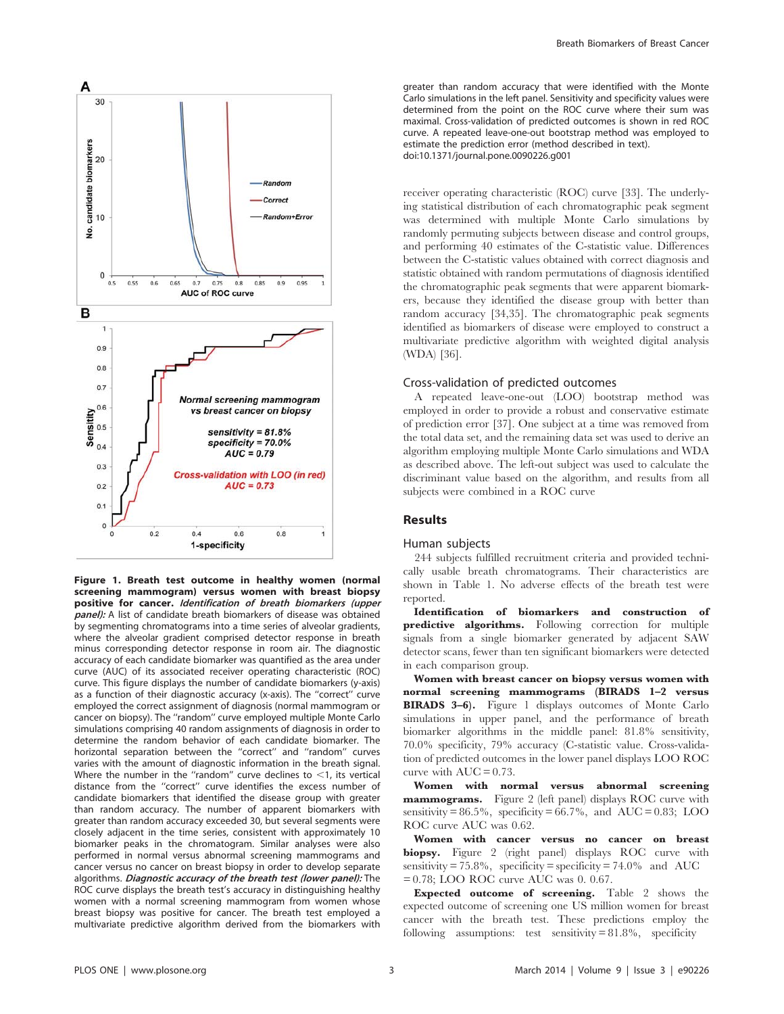

Figure 1. Breath test outcome in healthy women (normal screening mammogram) versus women with breast biopsy positive for cancer. Identification of breath biomarkers (upper panel): A list of candidate breath biomarkers of disease was obtained by segmenting chromatograms into a time series of alveolar gradients, where the alveolar gradient comprised detector response in breath minus corresponding detector response in room air. The diagnostic accuracy of each candidate biomarker was quantified as the area under curve (AUC) of its associated receiver operating characteristic (ROC) curve. This figure displays the number of candidate biomarkers (y-axis) as a function of their diagnostic accuracy (x-axis). The ''correct'' curve employed the correct assignment of diagnosis (normal mammogram or cancer on biopsy). The ''random'' curve employed multiple Monte Carlo simulations comprising 40 random assignments of diagnosis in order to determine the random behavior of each candidate biomarker. The horizontal separation between the ''correct'' and ''random'' curves varies with the amount of diagnostic information in the breath signal. Where the number in the "random" curve declines to  $\leq$ 1, its vertical distance from the ''correct'' curve identifies the excess number of candidate biomarkers that identified the disease group with greater than random accuracy. The number of apparent biomarkers with greater than random accuracy exceeded 30, but several segments were closely adjacent in the time series, consistent with approximately 10 biomarker peaks in the chromatogram. Similar analyses were also performed in normal versus abnormal screening mammograms and cancer versus no cancer on breast biopsy in order to develop separate algorithms. Diagnostic accuracy of the breath test (lower panel): The ROC curve displays the breath test's accuracy in distinguishing healthy women with a normal screening mammogram from women whose breast biopsy was positive for cancer. The breath test employed a multivariate predictive algorithm derived from the biomarkers with

greater than random accuracy that were identified with the Monte Carlo simulations in the left panel. Sensitivity and specificity values were determined from the point on the ROC curve where their sum was maximal. Cross-validation of predicted outcomes is shown in red ROC curve. A repeated leave-one-out bootstrap method was employed to estimate the prediction error (method described in text). doi:10.1371/journal.pone.0090226.g001

receiver operating characteristic (ROC) curve [33]. The underlying statistical distribution of each chromatographic peak segment was determined with multiple Monte Carlo simulations by randomly permuting subjects between disease and control groups, and performing 40 estimates of the C-statistic value. Differences between the C-statistic values obtained with correct diagnosis and statistic obtained with random permutations of diagnosis identified the chromatographic peak segments that were apparent biomarkers, because they identified the disease group with better than random accuracy [34,35]. The chromatographic peak segments identified as biomarkers of disease were employed to construct a multivariate predictive algorithm with weighted digital analysis (WDA) [36].

#### Cross-validation of predicted outcomes

A repeated leave-one-out (LOO) bootstrap method was employed in order to provide a robust and conservative estimate of prediction error [37]. One subject at a time was removed from the total data set, and the remaining data set was used to derive an algorithm employing multiple Monte Carlo simulations and WDA as described above. The left-out subject was used to calculate the discriminant value based on the algorithm, and results from all subjects were combined in a ROC curve

## Results

#### Human subjects

244 subjects fulfilled recruitment criteria and provided technically usable breath chromatograms. Their characteristics are shown in Table 1. No adverse effects of the breath test were reported.

Identification of biomarkers and construction of predictive algorithms. Following correction for multiple signals from a single biomarker generated by adjacent SAW detector scans, fewer than ten significant biomarkers were detected in each comparison group.

Women with breast cancer on biopsy versus women with normal screening mammograms (BIRADS 1–2 versus BIRADS 3–6). Figure 1 displays outcomes of Monte Carlo simulations in upper panel, and the performance of breath biomarker algorithms in the middle panel: 81.8% sensitivity, 70.0% specificity, 79% accuracy (C-statistic value. Cross-validation of predicted outcomes in the lower panel displays LOO ROC curve with  $AUC = 0.73$ .

Women with normal versus abnormal screening mammograms. Figure 2 (left panel) displays ROC curve with sensitivity =  $86.5\%$ , specificity =  $66.7\%$ , and  $AUC = 0.83$ ; LOO ROC curve AUC was 0.62.

Women with cancer versus no cancer on breast biopsy. Figure 2 (right panel) displays ROC curve with sensitivity =  $75.8\%$ , specificity =  $59.8\%$  and AUC = 0.78; LOO ROC curve AUC was 0. 0.67.

Expected outcome of screening. Table 2 shows the expected outcome of screening one US million women for breast cancer with the breath test. These predictions employ the following assumptions: test sensitivity = 81.8%, specificity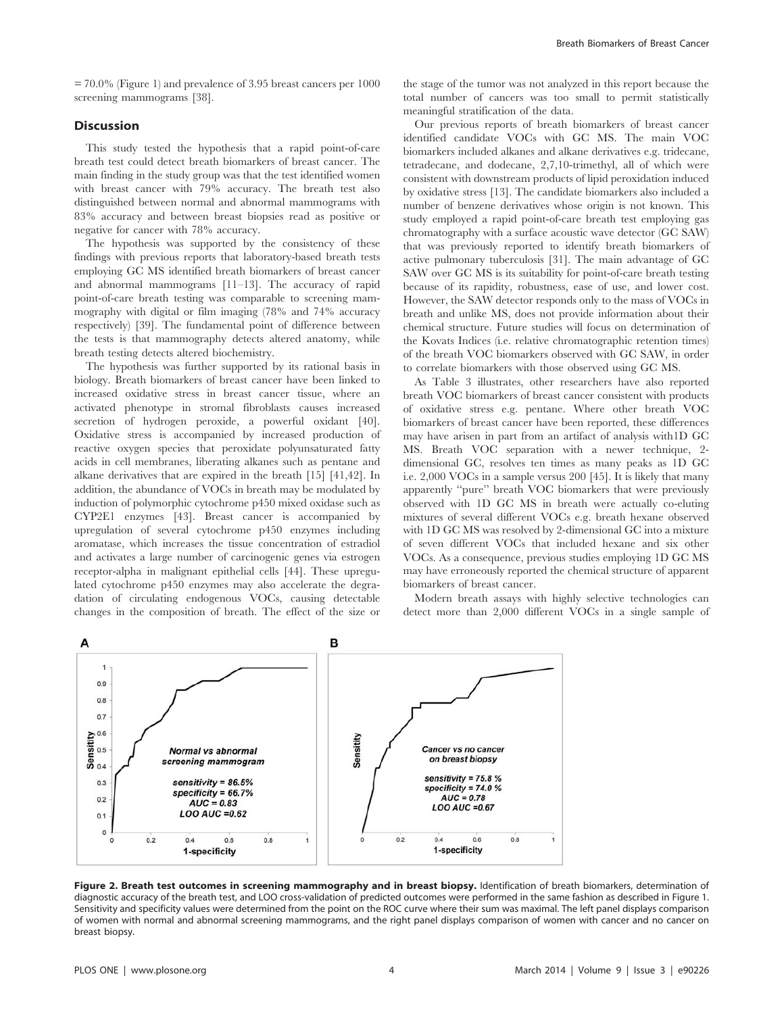$= 70.0\%$  (Figure 1) and prevalence of 3.95 breast cancers per 1000 screening mammograms [38].

## Discussion

This study tested the hypothesis that a rapid point-of-care breath test could detect breath biomarkers of breast cancer. The main finding in the study group was that the test identified women with breast cancer with 79% accuracy. The breath test also distinguished between normal and abnormal mammograms with 83% accuracy and between breast biopsies read as positive or negative for cancer with 78% accuracy.

The hypothesis was supported by the consistency of these findings with previous reports that laboratory-based breath tests employing GC MS identified breath biomarkers of breast cancer and abnormal mammograms [11–13]. The accuracy of rapid point-of-care breath testing was comparable to screening mammography with digital or film imaging (78% and 74% accuracy respectively) [39]. The fundamental point of difference between the tests is that mammography detects altered anatomy, while breath testing detects altered biochemistry.

The hypothesis was further supported by its rational basis in biology. Breath biomarkers of breast cancer have been linked to increased oxidative stress in breast cancer tissue, where an activated phenotype in stromal fibroblasts causes increased secretion of hydrogen peroxide, a powerful oxidant [40]. Oxidative stress is accompanied by increased production of reactive oxygen species that peroxidate polyunsaturated fatty acids in cell membranes, liberating alkanes such as pentane and alkane derivatives that are expired in the breath [15] [41,42]. In addition, the abundance of VOCs in breath may be modulated by induction of polymorphic cytochrome p450 mixed oxidase such as CYP2E1 enzymes [43]. Breast cancer is accompanied by upregulation of several cytochrome p450 enzymes including aromatase, which increases the tissue concentration of estradiol and activates a large number of carcinogenic genes via estrogen receptor-alpha in malignant epithelial cells [44]. These upregulated cytochrome p450 enzymes may also accelerate the degradation of circulating endogenous VOCs, causing detectable changes in the composition of breath. The effect of the size or

the stage of the tumor was not analyzed in this report because the total number of cancers was too small to permit statistically meaningful stratification of the data.

Our previous reports of breath biomarkers of breast cancer identified candidate VOCs with GC MS. The main VOC biomarkers included alkanes and alkane derivatives e.g. tridecane, tetradecane, and dodecane, 2,7,10-trimethyl, all of which were consistent with downstream products of lipid peroxidation induced by oxidative stress [13]. The candidate biomarkers also included a number of benzene derivatives whose origin is not known. This study employed a rapid point-of-care breath test employing gas chromatography with a surface acoustic wave detector (GC SAW) that was previously reported to identify breath biomarkers of active pulmonary tuberculosis [31]. The main advantage of GC SAW over GC MS is its suitability for point-of-care breath testing because of its rapidity, robustness, ease of use, and lower cost. However, the SAW detector responds only to the mass of VOCs in breath and unlike MS, does not provide information about their chemical structure. Future studies will focus on determination of the Kovats Indices (i.e. relative chromatographic retention times) of the breath VOC biomarkers observed with GC SAW, in order to correlate biomarkers with those observed using GC MS.

As Table 3 illustrates, other researchers have also reported breath VOC biomarkers of breast cancer consistent with products of oxidative stress e.g. pentane. Where other breath VOC biomarkers of breast cancer have been reported, these differences may have arisen in part from an artifact of analysis with1D GC MS. Breath VOC separation with a newer technique, 2 dimensional GC, resolves ten times as many peaks as 1D GC i.e. 2,000 VOCs in a sample versus 200 [45]. It is likely that many apparently ''pure'' breath VOC biomarkers that were previously observed with 1D GC MS in breath were actually co-eluting mixtures of several different VOCs e.g. breath hexane observed with 1D GC MS was resolved by 2-dimensional GC into a mixture of seven different VOCs that included hexane and six other VOCs. As a consequence, previous studies employing 1D GC MS may have erroneously reported the chemical structure of apparent biomarkers of breast cancer.

Modern breath assays with highly selective technologies can detect more than 2,000 different VOCs in a single sample of



Figure 2. Breath test outcomes in screening mammography and in breast biopsy. Identification of breath biomarkers, determination of diagnostic accuracy of the breath test, and LOO cross-validation of predicted outcomes were performed in the same fashion as described in Figure 1. Sensitivity and specificity values were determined from the point on the ROC curve where their sum was maximal. The left panel displays comparison of women with normal and abnormal screening mammograms, and the right panel displays comparison of women with cancer and no cancer on breast biopsy.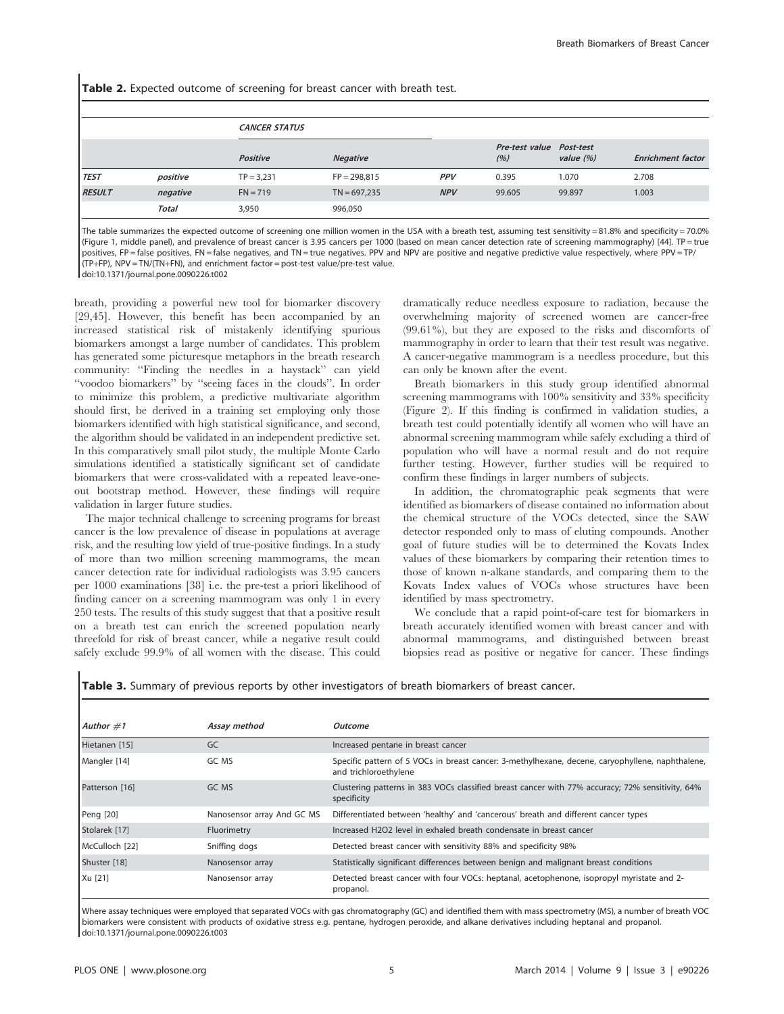Table 2. Expected outcome of screening for breast cancer with breath test.

|               |              | <b>CANCER STATUS</b> |                 |            |                                 |             |                          |
|---------------|--------------|----------------------|-----------------|------------|---------------------------------|-------------|--------------------------|
|               |              | <b>Positive</b>      | <b>Negative</b> |            | Pre-test value Post-test<br>(%) | value $(%)$ | <b>Enrichment factor</b> |
| <b>TEST</b>   | positive     | $TP = 3,231$         | $FP = 298.815$  | <b>PPV</b> | 0.395                           | 1.070       | 2.708                    |
| <b>RESULT</b> | negative     | $FN = 719$           | $TN = 697,235$  | <b>NPV</b> | 99.605                          | 99.897      | 1.003                    |
|               | <b>Total</b> | 3,950                | 996,050         |            |                                 |             |                          |

The table summarizes the expected outcome of screening one million women in the USA with a breath test, assuming test sensitivity = 81.8% and specificity = 70.0% (Figure 1, middle panel), and prevalence of breast cancer is 3.95 cancers per 1000 (based on mean cancer detection rate of screening mammography) [44]. TP = true positives, FP = false positives, FN = false negatives, and TN = true negatives. PPV and NPV are positive and negative predictive value respectively, where PPV = TP/ (TP+FP), NPV = TN/(TN+FN), and enrichment factor = post-test value/pre-test value. doi:10.1371/journal.pone.0090226.t002

breath, providing a powerful new tool for biomarker discovery [29,45]. However, this benefit has been accompanied by an increased statistical risk of mistakenly identifying spurious biomarkers amongst a large number of candidates. This problem has generated some picturesque metaphors in the breath research community: ''Finding the needles in a haystack'' can yield ''voodoo biomarkers'' by ''seeing faces in the clouds''. In order to minimize this problem, a predictive multivariate algorithm should first, be derived in a training set employing only those biomarkers identified with high statistical significance, and second, the algorithm should be validated in an independent predictive set. In this comparatively small pilot study, the multiple Monte Carlo simulations identified a statistically significant set of candidate biomarkers that were cross-validated with a repeated leave-oneout bootstrap method. However, these findings will require validation in larger future studies.

The major technical challenge to screening programs for breast cancer is the low prevalence of disease in populations at average risk, and the resulting low yield of true-positive findings. In a study of more than two million screening mammograms, the mean cancer detection rate for individual radiologists was 3.95 cancers per 1000 examinations [38] i.e. the pre-test a priori likelihood of finding cancer on a screening mammogram was only 1 in every 250 tests. The results of this study suggest that that a positive result on a breath test can enrich the screened population nearly threefold for risk of breast cancer, while a negative result could safely exclude 99.9% of all women with the disease. This could

dramatically reduce needless exposure to radiation, because the overwhelming majority of screened women are cancer-free (99.61%), but they are exposed to the risks and discomforts of mammography in order to learn that their test result was negative. A cancer-negative mammogram is a needless procedure, but this can only be known after the event.

Breath biomarkers in this study group identified abnormal screening mammograms with 100% sensitivity and 33% specificity (Figure 2). If this finding is confirmed in validation studies, a breath test could potentially identify all women who will have an abnormal screening mammogram while safely excluding a third of population who will have a normal result and do not require further testing. However, further studies will be required to confirm these findings in larger numbers of subjects.

In addition, the chromatographic peak segments that were identified as biomarkers of disease contained no information about the chemical structure of the VOCs detected, since the SAW detector responded only to mass of eluting compounds. Another goal of future studies will be to determined the Kovats Index values of these biomarkers by comparing their retention times to those of known n-alkane standards, and comparing them to the Kovats Index values of VOCs whose structures have been identified by mass spectrometry.

We conclude that a rapid point-of-care test for biomarkers in breath accurately identified women with breast cancer and with abnormal mammograms, and distinguished between breast biopsies read as positive or negative for cancer. These findings

Table 3. Summary of previous reports by other investigators of breath biomarkers of breast cancer.

| Author $\#1$   | Assay method               | <b>Outcome</b>                                                                                                            |
|----------------|----------------------------|---------------------------------------------------------------------------------------------------------------------------|
| Hietanen [15]  | GC                         | Increased pentane in breast cancer                                                                                        |
| Mangler [14]   | GC MS                      | Specific pattern of 5 VOCs in breast cancer: 3-methylhexane, decene, caryophyllene, naphthalene,<br>and trichloroethylene |
| Patterson [16] | GC MS                      | Clustering patterns in 383 VOCs classified breast cancer with 77% accuracy; 72% sensitivity, 64%<br>specificity           |
| Peng [20]      | Nanosensor array And GC MS | Differentiated between 'healthy' and 'cancerous' breath and different cancer types                                        |
| Stolarek [17]  | Fluorimetry                | Increased H2O2 level in exhaled breath condensate in breast cancer                                                        |
| McCulloch [22] | Sniffing dogs              | Detected breast cancer with sensitivity 88% and specificity 98%                                                           |
| Shuster [18]   | Nanosensor array           | Statistically significant differences between benign and malignant breast conditions                                      |
| Xu [21]        | Nanosensor array           | Detected breast cancer with four VOCs: heptanal, acetophenone, isopropyl myristate and 2-<br>propanol.                    |

Where assay techniques were employed that separated VOCs with gas chromatography (GC) and identified them with mass spectrometry (MS), a number of breath VOC biomarkers were consistent with products of oxidative stress e.g. pentane, hydrogen peroxide, and alkane derivatives including heptanal and propanol. doi:10.1371/journal.pone.0090226.t003